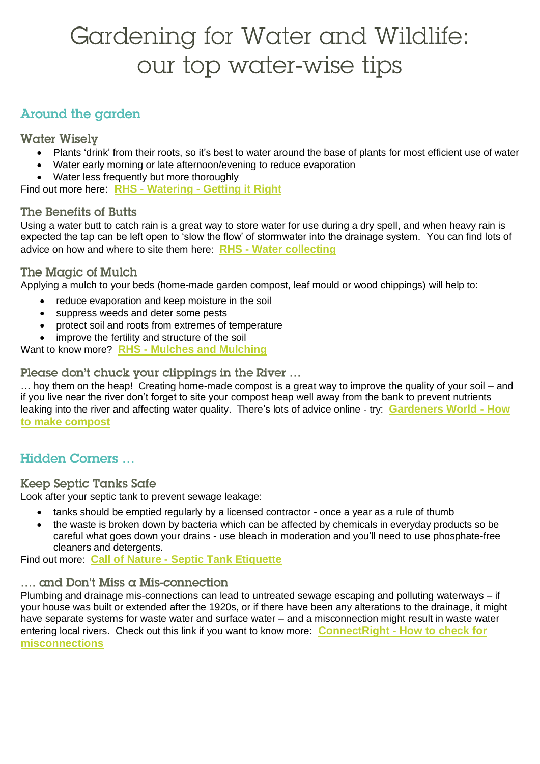# Gardening for Water and Wildlife: our top water-wise tips

# **Around the garden**

## **Water Wisely**

- Plants 'drink' from their roots, so it's best to water around the base of plants for most efficient use of water
- Water early morning or late afternoon/evening to reduce evaporation
- Water less frequently but more thoroughly

Find out more here: **RHS - Watering - [Getting it Right](https://www.rhs.org.uk/advice/profile?pid=312)**

## The Benefits of Butts

Using a water butt to catch rain is a great way to store water for use during a dry spell, and when heavy rain is expected the tap can be left open to 'slow the flow' of stormwater into the drainage system. You can find lots of advice on how and where to site them here: **RHS - [Water collecting](https://www.rhs.org.uk/advice/profile?pid=313)**

## The Magic of Mulch

Applying a mulch to your beds (home-made garden compost, leaf mould or wood chippings) will help to:

- reduce evaporation and keep moisture in the soil
- suppress weeds and deter some pests
- protect soil and roots from extremes of temperature
- improve the fertility and structure of the soil

Want to know more? **RHS - [Mulches and Mulching](https://www.rhs.org.uk/advice/profile?pid=323)**

Please don't chuck your clippings in the River ...

… hoy them on the heap! Creating home-made compost is a great way to improve the quality of your soil – and if you live near the river don't forget to site your compost heap well away from the bank to prevent nutrients leaking into the river and affecting water quality. There's lots of advice online - try: **[Gardeners World -](https://www.gardenersworld.com/how-to/maintain-the-garden/how-to-make-compost/) How [to make compost](https://www.gardenersworld.com/how-to/maintain-the-garden/how-to-make-compost/)**

# **Hidden Corners...**

## **Keep Septic Tanks Safe**

Look after your septic tank to prevent sewage leakage:

- tanks should be emptied regularly by a licensed contractor once a year as a rule of thumb
- the waste is broken down by bacteria which can be affected by chemicals in everyday products so be careful what goes down your drains - use bleach in moderation and you'll need to use phosphate-free cleaners and detergents.

Find out more: **Call of Nature - [Septic Tank Etiquette](https://callofnature.info/top-tips-fun-facts/)**

## .... and Don't Miss a Mis-connection

Plumbing and drainage mis-connections can lead to untreated sewage escaping and polluting waterways – if your house was built or extended after the 1920s, or if there have been any alterations to the drainage, it might have separate systems for waste water and surface water – and a misconnection might result in waste water entering local rivers. Check out this link if you want to know more: **ConnectRight - [How to check for](http://www.connectright.org.uk/misconnections)  [misconnections](http://www.connectright.org.uk/misconnections)**